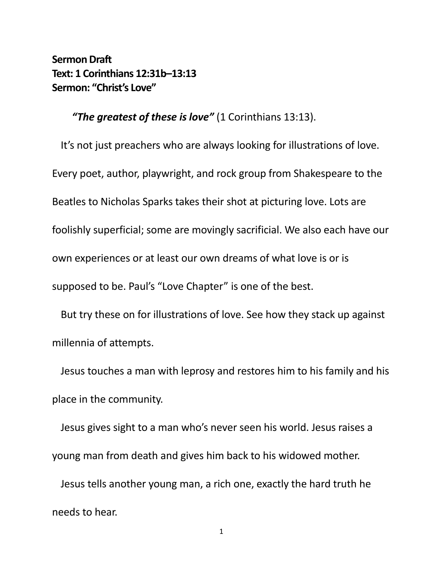**Sermon Draft Text: 1 Corinthians 12:31b–13:13 Sermon: "Christ's Love"**

*"The greatest of these is love"* (1 Corinthians 13:13).

It's not just preachers who are always looking for illustrations of love. Every poet, author, playwright, and rock group from Shakespeare to the Beatles to Nicholas Sparks takes their shot at picturing love. Lots are foolishly superficial; some are movingly sacrificial. We also each have our own experiences or at least our own dreams of what love is or is supposed to be. Paul's "Love Chapter" is one of the best.

But try these on for illustrations of love. See how they stack up against millennia of attempts.

Jesus touches a man with leprosy and restores him to his family and his place in the community.

Jesus gives sight to a man who's never seen his world. Jesus raises a young man from death and gives him back to his widowed mother.

Jesus tells another young man, a rich one, exactly the hard truth he needs to hear.

1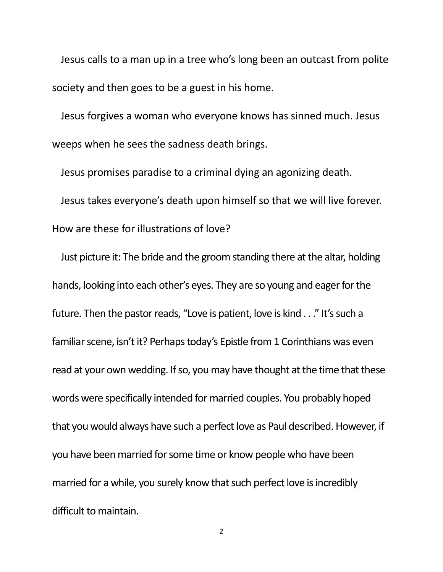Jesus calls to a man up in a tree who's long been an outcast from polite society and then goes to be a guest in his home.

Jesus forgives a woman who everyone knows has sinned much. Jesus weeps when he sees the sadness death brings.

Jesus promises paradise to a criminal dying an agonizing death. Jesus takes everyone's death upon himself so that we will live forever. How are these for illustrations of love?

Just picture it: The bride and the groom standing there at the altar, holding hands, looking into each other's eyes. They are so young and eager for the future. Then the pastor reads, "Love is patient, love is kind . . ." It's such a familiar scene, isn't it? Perhaps today's Epistle from 1 Corinthians was even read at your own wedding. If so, you may have thought at the time that these words were specifically intended for married couples. You probably hoped that you would always have such a perfect love as Paul described. However, if you have been married for some time or know people who have been married for a while, you surely know that such perfect love is incredibly difficult to maintain.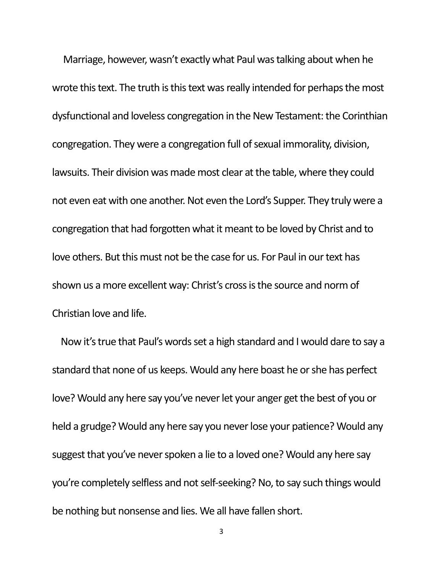Marriage, however, wasn't exactly what Paul was talking about when he wrote this text. The truth is this text was really intended for perhaps the most dysfunctional and loveless congregation in the New Testament: the Corinthian congregation. They were a congregation full of sexual immorality, division, lawsuits. Their division was made most clear at the table, where they could not even eat with one another. Not even the Lord's Supper. They truly were a congregation that had forgotten what it meant to be loved by Christ and to love others. But this must not be the case for us. For Paul in our text has shown us a more excellent way: Christ's cross is the source and norm of Christian love and life.

Now it's true that Paul's words set a high standard and I would dare to say a standard that none of us keeps. Would any here boast he or she has perfect love? Would any here say you've never let your anger get the best of you or held a grudge? Would any here say you never lose your patience? Would any suggest that you've never spoken a lie to a loved one? Would any here say you're completely selfless and not self-seeking? No, to say such things would be nothing but nonsense and lies. We all have fallen short.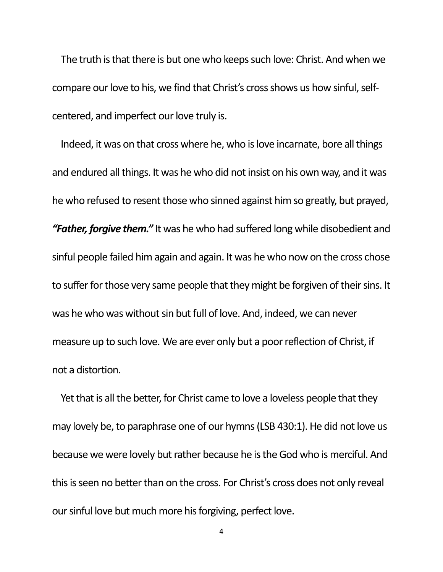The truth is that there is but one who keeps such love: Christ. And when we compare our love to his, we find that Christ's cross shows us how sinful, selfcentered, and imperfect our love truly is.

Indeed, it was on that cross where he, who is love incarnate, bore all things and endured all things. It was he who did not insist on his own way, and it was he who refused to resent those who sinned against him so greatly, but prayed, *"Father, forgive them."* It was he who had suffered long while disobedient and sinful people failed him again and again. It was he who now on the cross chose to suffer for those very same people that they might be forgiven of their sins. It was he who was without sin but full of love. And, indeed, we can never measure up to such love. We are ever only but a poor reflection of Christ, if not a distortion.

Yet that is all the better, for Christ came to love a loveless people that they may lovely be, to paraphrase one of our hymns (LSB 430:1). He did not love us because we were lovely but rather because he is the God who is merciful. And this is seen no better than on the cross. For Christ's cross does not only reveal our sinful love but much more his forgiving, perfect love.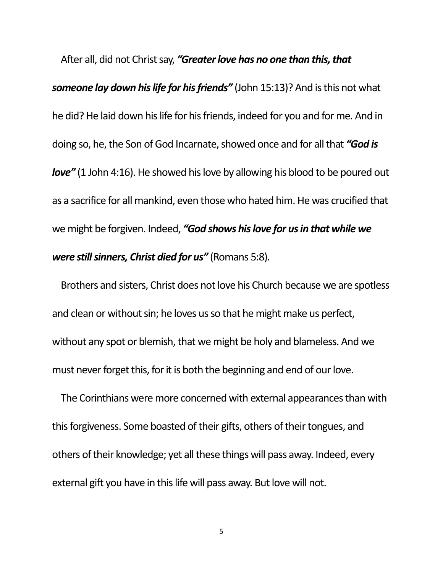After all, did not Christ say, *"Greater love has no one than this, that someone lay down his life for his friends"* (John 15:13)? And is this not what he did? He laid down his life for his friends, indeed for you and for me. And in doing so, he, the Son of God Incarnate, showed once and for all that *"God is love"* (1 John 4:16). He showed his love by allowing his blood to be poured out as a sacrifice for all mankind, even those who hated him. He was crucified that we might be forgiven. Indeed, *"God shows his love for us in that while we were still sinners, Christ died for us"* (Romans 5:8).

Brothers and sisters, Christ does not love his Church because we are spotless and clean or without sin; he loves us so that he might make us perfect, without any spot or blemish, that we might be holy and blameless. And we must never forget this, for it is both the beginning and end of our love.

The Corinthians were more concerned with external appearances than with this forgiveness. Some boasted of their gifts, others of their tongues, and others of their knowledge; yet all these things will pass away. Indeed, every external gift you have in this life will pass away. But love will not.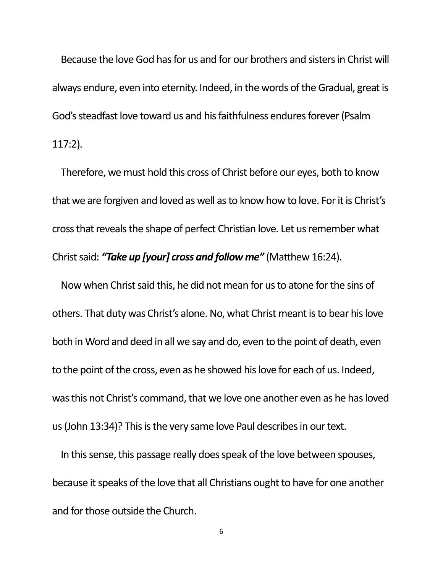Because the love God has for us and for our brothers and sisters in Christ will always endure, even into eternity. Indeed, in the words of the Gradual, great is God's steadfast love toward us and his faithfulness endures forever (Psalm 117:2).

Therefore, we must hold this cross of Christ before our eyes, both to know that we are forgiven and loved as well as to know how to love. For it is Christ's cross that reveals the shape of perfect Christian love. Let us remember what Christ said: *"Take up [your] cross and follow me"* (Matthew 16:24).

Now when Christ said this, he did not mean for us to atone for the sins of others. That duty was Christ's alone. No, what Christ meant is to bear his love both in Word and deed in all we say and do, even to the point of death, even to the point of the cross, even as he showed his love for each of us. Indeed, was this not Christ's command, that we love one another even as he has loved us (John 13:34)? This is the very same love Paul describes in our text.

In this sense, this passage really does speak of the love between spouses, because it speaks of the love that all Christians ought to have for one another and for those outside the Church.